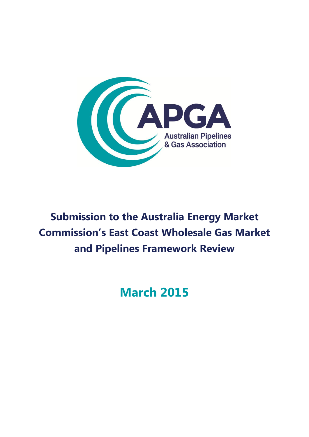

# **Submission to the Australia Energy Market Commission's East Coast Wholesale Gas Market and Pipelines Framework Review**

# **March 2015**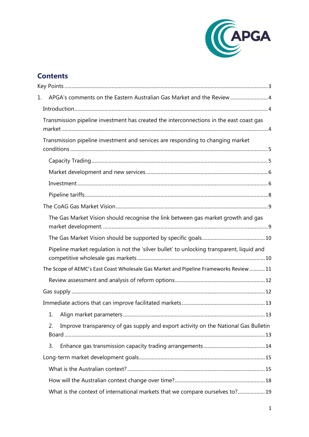![](_page_1_Picture_0.jpeg)

# **Contents**

| 1. | APGA's comments on the Eastern Australian Gas Market and the Review  4                     |  |
|----|--------------------------------------------------------------------------------------------|--|
|    |                                                                                            |  |
|    | Transmission pipeline investment has created the interconnections in the east coast gas    |  |
|    | Transmission pipeline investment and services are responding to changing market            |  |
|    |                                                                                            |  |
|    |                                                                                            |  |
|    |                                                                                            |  |
|    |                                                                                            |  |
|    |                                                                                            |  |
|    | The Gas Market Vision should recognise the link between gas market growth and gas          |  |
|    |                                                                                            |  |
|    | Pipeline market regulation is not the 'silver bullet' to unlocking transparent, liquid and |  |
|    | The Scope of AEMC's East Coast Wholesale Gas Market and Pipeline Frameworks Review11       |  |
|    |                                                                                            |  |
|    |                                                                                            |  |
|    |                                                                                            |  |
|    |                                                                                            |  |
|    | Improve transparency of gas supply and export activity on the National Gas Bulletin<br>2.  |  |
|    | 3.                                                                                         |  |
|    |                                                                                            |  |
|    |                                                                                            |  |
|    |                                                                                            |  |
|    | What is the context of international markets that we compare ourselves to? 19              |  |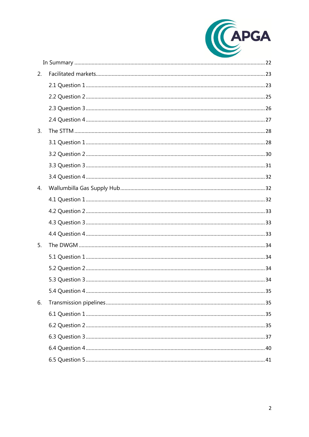![](_page_2_Picture_0.jpeg)

| 2. |  |
|----|--|
|    |  |
|    |  |
|    |  |
|    |  |
| 3. |  |
|    |  |
|    |  |
|    |  |
|    |  |
| 4. |  |
|    |  |
|    |  |
|    |  |
|    |  |
| 5. |  |
|    |  |
|    |  |
|    |  |
|    |  |
| 6. |  |
|    |  |
|    |  |
|    |  |
|    |  |
|    |  |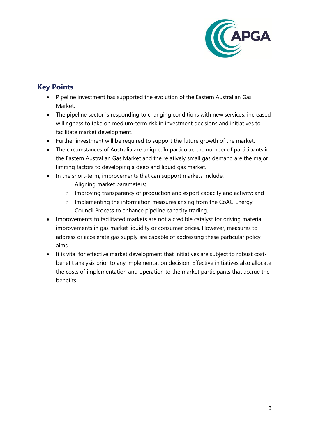![](_page_3_Picture_0.jpeg)

# <span id="page-3-0"></span>**Key Points**

- Pipeline investment has supported the evolution of the Eastern Australian Gas Market.
- The pipeline sector is responding to changing conditions with new services, increased willingness to take on medium-term risk in investment decisions and initiatives to facilitate market development.
- Further investment will be required to support the future growth of the market.
- The circumstances of Australia are unique. In particular, the number of participants in the Eastern Australian Gas Market and the relatively small gas demand are the major limiting factors to developing a deep and liquid gas market.
- In the short-term, improvements that can support markets include:
	- o Aligning market parameters;
	- o Improving transparency of production and export capacity and activity; and
	- o Implementing the information measures arising from the CoAG Energy Council Process to enhance pipeline capacity trading.
- Improvements to facilitated markets are not a credible catalyst for driving material improvements in gas market liquidity or consumer prices. However, measures to address or accelerate gas supply are capable of addressing these particular policy aims.
- It is vital for effective market development that initiatives are subject to robust costbenefit analysis prior to any implementation decision. Effective initiatives also allocate the costs of implementation and operation to the market participants that accrue the benefits.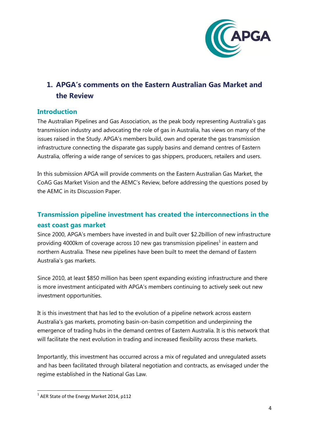![](_page_4_Picture_0.jpeg)

# <span id="page-4-0"></span>**1. APGA's comments on the Eastern Australian Gas Market and the Review**

#### <span id="page-4-1"></span>**Introduction**

The Australian Pipelines and Gas Association, as the peak body representing Australia's gas transmission industry and advocating the role of gas in Australia, has views on many of the issues raised in the Study. APGA's members build, own and operate the gas transmission infrastructure connecting the disparate gas supply basins and demand centres of Eastern Australia, offering a wide range of services to gas shippers, producers, retailers and users.

In this submission APGA will provide comments on the Eastern Australian Gas Market, the CoAG Gas Market Vision and the AEMC's Review, before addressing the questions posed by the AEMC in its Discussion Paper.

# <span id="page-4-2"></span>**Transmission pipeline investment has created the interconnections in the east coast gas market**

Since 2000, APGA's members have invested in and built over \$2.2billion of new infrastructure providing 4000km of coverage across 10 new gas transmission pipelines<sup>1</sup> in eastern and northern Australia. These new pipelines have been built to meet the demand of Eastern Australia's gas markets.

Since 2010, at least \$850 million has been spent expanding existing infrastructure and there is more investment anticipated with APGA's members continuing to actively seek out new investment opportunities.

It is this investment that has led to the evolution of a pipeline network across eastern Australia's gas markets, promoting basin-on-basin competition and underpinning the emergence of trading hubs in the demand centres of Eastern Australia. It is this network that will facilitate the next evolution in trading and increased flexibility across these markets.

Importantly, this investment has occurred across a mix of regulated and unregulated assets and has been facilitated through bilateral negotiation and contracts, as envisaged under the regime established in the National Gas Law.

**<sup>.</sup>**  $1$  AER State of the Energy Market 2014, p112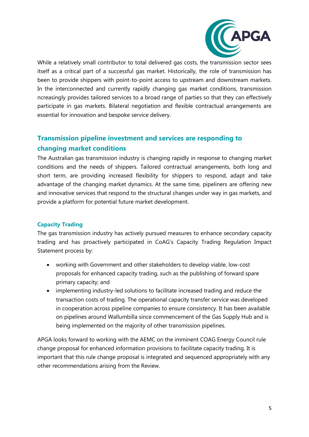![](_page_5_Picture_0.jpeg)

While a relatively small contributor to total delivered gas costs, the transmission sector sees itself as a critical part of a successful gas market. Historically, the role of transmission has been to provide shippers with point-to-point access to upstream and downstream markets. In the interconnected and currently rapidly changing gas market conditions, transmission ncreasingly provides tailored services to a broad range of parties so that they can effectively participate in gas markets. Bilateral negotiation and flexible contractual arrangements are essential for innovation and bespoke service delivery.

# <span id="page-5-0"></span>**Transmission pipeline investment and services are responding to changing market conditions**

The Australian gas transmission industry is changing rapidly in response to changing market conditions and the needs of shippers. Tailored contractual arrangements, both long and short term, are providing increased flexibility for shippers to respond, adapt and take advantage of the changing market dynamics. At the same time, pipeliners are offering new and innovative services that respond to the structural changes under way in gas markets, and provide a platform for potential future market development.

#### <span id="page-5-1"></span>**Capacity Trading**

The gas transmission industry has actively pursued measures to enhance secondary capacity trading and has proactively participated in CoAG's Capacity Trading Regulation Impact Statement process by:

- working with Government and other stakeholders to develop viable, low-cost proposals for enhanced capacity trading, such as the publishing of forward spare primary capacity; and
- implementing industry-led solutions to facilitate increased trading and reduce the transaction costs of trading. The operational capacity transfer service was developed in cooperation across pipeline companies to ensure consistency. It has been available on pipelines around Wallumbilla since commencement of the Gas Supply Hub and is being implemented on the majority of other transmission pipelines.

APGA looks forward to working with the AEMC on the imminent COAG Energy Council rule change proposal for enhanced information provisions to facilitate capacity trading. It is important that this rule change proposal is integrated and sequenced appropriately with any other recommendations arising from the Review.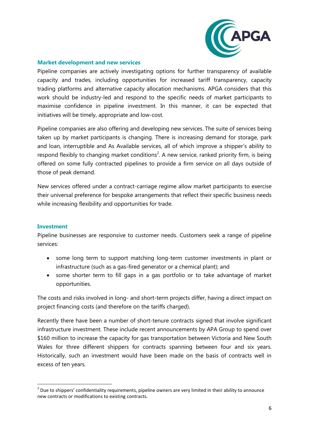![](_page_6_Picture_0.jpeg)

#### <span id="page-6-0"></span>**Market development and new services**

Pipeline companies are actively investigating options for further transparency of available capacity and trades, including opportunities for increased tariff transparency, capacity trading platforms and alternative capacity allocation mechanisms. APGA considers that this work should be industry-led and respond to the specific needs of market participants to maximise confidence in pipeline investment. In this manner, it can be expected that initiatives will be timely, appropriate and low-cost.

Pipeline companies are also offering and developing new services. The suite of services being taken up by market participants is changing. There is increasing demand for storage, park and loan, interruptible and As Available services, all of which improve a shipper's ability to respond flexibly to changing market conditions<sup>2</sup>. A new service, ranked priority firm, is being offered on some fully contracted pipelines to provide a firm service on all days outside of those of peak demand.

New services offered under a contract-carriage regime allow market participants to exercise their universal preference for bespoke arrangements that reflect their specific business needs while increasing flexibility and opportunities for trade.

#### <span id="page-6-1"></span>**Investment**

**.** 

Pipeline businesses are responsive to customer needs. Customers seek a range of pipeline services:

- some long term to support matching long-term customer investments in plant or infrastructure (such as a gas-fired generator or a chemical plant); and
- some shorter term to fill gaps in a gas portfolio or to take advantage of market opportunities.

The costs and risks involved in long- and short-term projects differ, having a direct impact on project financing costs (and therefore on the tariffs charged).

Recently there have been a number of short-tenure contracts signed that involve significant infrastructure investment. These include recent announcements by APA Group to spend over \$160 million to increase the capacity for gas transportation between Victoria and New South Wales for three different shippers for contracts spanning between four and six years. Historically, such an investment would have been made on the basis of contracts well in excess of ten years.

 $2$  Due to shippers' confidentiality requirements, pipeline owners are very limited in their ability to announce new contracts or modifications to existing contracts.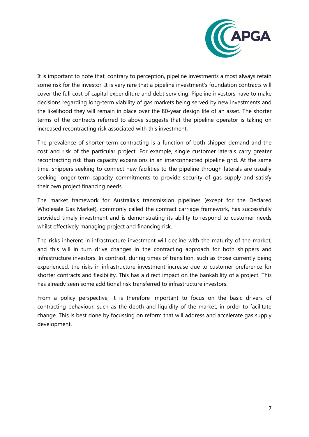![](_page_7_Picture_0.jpeg)

It is important to note that, contrary to perception, pipeline investments almost always retain some risk for the investor. It is very rare that a pipeline investment's foundation contracts will cover the full cost of capital expenditure and debt servicing. Pipeline investors have to make decisions regarding long-term viability of gas markets being served by new investments and the likelihood they will remain in place over the 80-year design life of an asset. The shorter terms of the contracts referred to above suggests that the pipeline operator is taking on increased recontracting risk associated with this investment.

The prevalence of shorter-term contracting is a function of both shipper demand and the cost and risk of the particular project. For example, single customer laterals carry greater recontracting risk than capacity expansions in an interconnected pipeline grid. At the same time, shippers seeking to connect new facilities to the pipeline through laterals are usually seeking longer-term capacity commitments to provide security of gas supply and satisfy their own project financing needs.

The market framework for Australia's transmission pipelines (except for the Declared Wholesale Gas Market), commonly called the contract carriage framework, has successfully provided timely investment and is demonstrating its ability to respond to customer needs whilst effectively managing project and financing risk.

The risks inherent in infrastructure investment will decline with the maturity of the market, and this will in turn drive changes in the contracting approach for both shippers and infrastructure investors. In contrast, during times of transition, such as those currently being experienced, the risks in infrastructure investment increase due to customer preference for shorter contracts and flexibility. This has a direct impact on the bankability of a project. This has already seen some additional risk transferred to infrastructure investors.

From a policy perspective, it is therefore important to focus on the basic drivers of contracting behaviour, such as the depth and liquidity of the market, in order to facilitate change. This is best done by focussing on reform that will address and accelerate gas supply development.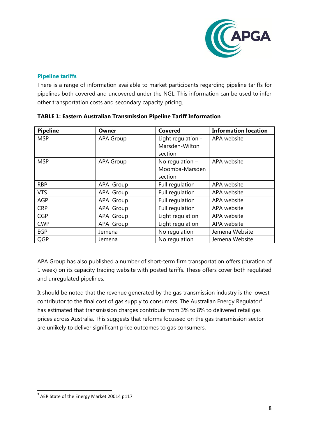![](_page_8_Picture_0.jpeg)

#### <span id="page-8-0"></span>**Pipeline tariffs**

There is a range of information available to market participants regarding pipeline tariffs for pipelines both covered and uncovered under the NGL. This information can be used to infer other transportation costs and secondary capacity pricing.

| <b>Pipeline</b> | Owner            | <b>Covered</b>     | <b>Information location</b> |
|-----------------|------------------|--------------------|-----------------------------|
| <b>MSP</b>      | <b>APA Group</b> | Light regulation - | APA website                 |
|                 |                  | Marsden-Wilton     |                             |
|                 |                  | section            |                             |
| <b>MSP</b>      | <b>APA Group</b> | No regulation $-$  | APA website                 |
|                 |                  | Moomba-Marsden     |                             |
|                 |                  | section            |                             |
| <b>RBP</b>      | APA Group        | Full regulation    | APA website                 |
| <b>VTS</b>      | APA Group        | Full regulation    | APA website                 |
| <b>AGP</b>      | APA Group        | Full regulation    | APA website                 |
| <b>CRP</b>      | APA Group        | Full regulation    | APA website                 |
| <b>CGP</b>      | APA Group        | Light regulation   | APA website                 |
| <b>CWP</b>      | APA Group        | Light regulation   | APA website                 |
| <b>EGP</b>      | Jemena           | No regulation      | Jemena Website              |
| QGP             | Jemena           | No regulation      | Jemena Website              |

#### **TABLE 1: Eastern Australian Transmission Pipeline Tariff Information**

APA Group has also published a number of short-term firm transportation offers (duration of 1 week) on its capacity trading website with posted tariffs. These offers cover both regulated and unregulated pipelines.

It should be noted that the revenue generated by the gas transmission industry is the lowest contributor to the final cost of gas supply to consumers. The Australian Energy Regulator<sup>3</sup> has estimated that transmission charges contribute from 3% to 8% to delivered retail gas prices across Australia. This suggests that reforms focussed on the gas transmission sector are unlikely to deliver significant price outcomes to gas consumers.

<sup>-&</sup>lt;br><sup>3</sup> AER State of the Energy Market 20014 p117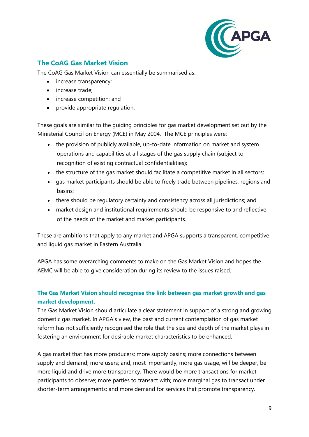![](_page_9_Picture_0.jpeg)

# <span id="page-9-0"></span>**The CoAG Gas Market Vision**

The CoAG Gas Market Vision can essentially be summarised as:

- increase transparency;
- increase trade:
- increase competition; and
- provide appropriate regulation.

These goals are similar to the guiding principles for gas market development set out by the Ministerial Council on Energy (MCE) in May 2004. The MCE principles were:

- the provision of publicly available, up-to-date information on market and system operations and capabilities at all stages of the gas supply chain (subject to recognition of existing contractual confidentialities);
- the structure of the gas market should facilitate a competitive market in all sectors;
- gas market participants should be able to freely trade between pipelines, regions and basins;
- there should be regulatory certainty and consistency across all jurisdictions; and
- market design and institutional requirements should be responsive to and reflective of the needs of the market and market participants.

These are ambitions that apply to any market and APGA supports a transparent, competitive and liquid gas market in Eastern Australia.

APGA has some overarching comments to make on the Gas Market Vision and hopes the AEMC will be able to give consideration during its review to the issues raised.

## <span id="page-9-1"></span>**The Gas Market Vision should recognise the link between gas market growth and gas market development.**

The Gas Market Vision should articulate a clear statement in support of a strong and growing domestic gas market. In APGA's view, the past and current contemplation of gas market reform has not sufficiently recognised the role that the size and depth of the market plays in fostering an environment for desirable market characteristics to be enhanced.

A gas market that has more producers; more supply basins; more connections between supply and demand; more users; and, most importantly, more gas usage, will be deeper, be more liquid and drive more transparency. There would be more transactions for market participants to observe; more parties to transact with; more marginal gas to transact under shorter-term arrangements; and more demand for services that promote transparency.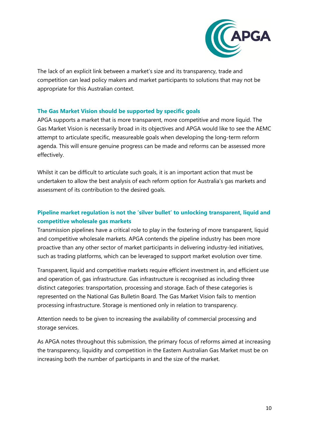![](_page_10_Picture_0.jpeg)

The lack of an explicit link between a market's size and its transparency, trade and competition can lead policy makers and market participants to solutions that may not be appropriate for this Australian context.

#### <span id="page-10-0"></span>**The Gas Market Vision should be supported by specific goals**

APGA supports a market that is more transparent, more competitive and more liquid. The Gas Market Vision is necessarily broad in its objectives and APGA would like to see the AEMC attempt to articulate specific, measureable goals when developing the long-term reform agenda. This will ensure genuine progress can be made and reforms can be assessed more effectively.

Whilst it can be difficult to articulate such goals, it is an important action that must be undertaken to allow the best analysis of each reform option for Australia's gas markets and assessment of its contribution to the desired goals.

## <span id="page-10-1"></span>**Pipeline market regulation is not the 'silver bullet' to unlocking transparent, liquid and competitive wholesale gas markets**

Transmission pipelines have a critical role to play in the fostering of more transparent, liquid and competitive wholesale markets. APGA contends the pipeline industry has been more proactive than any other sector of market participants in delivering industry-led initiatives, such as trading platforms, which can be leveraged to support market evolution over time.

Transparent, liquid and competitive markets require efficient investment in, and efficient use and operation of, gas infrastructure. Gas infrastructure is recognised as including three distinct categories: transportation, processing and storage. Each of these categories is represented on the National Gas Bulletin Board. The Gas Market Vision fails to mention processing infrastructure. Storage is mentioned only in relation to transparency.

Attention needs to be given to increasing the availability of commercial processing and storage services.

As APGA notes throughout this submission, the primary focus of reforms aimed at increasing the transparency, liquidity and competition in the Eastern Australian Gas Market must be on increasing both the number of participants in and the size of the market.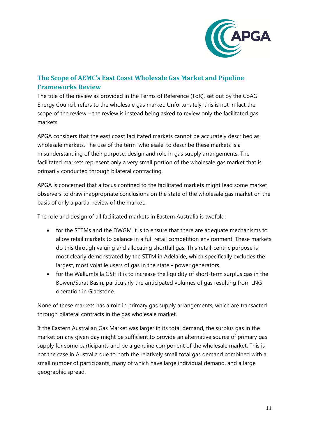![](_page_11_Picture_0.jpeg)

# <span id="page-11-0"></span>**The Scope of AEMC's East Coast Wholesale Gas Market and Pipeline Frameworks Review**

The title of the review as provided in the Terms of Reference (ToR), set out by the CoAG Energy Council, refers to the wholesale gas market. Unfortunately, this is not in fact the scope of the review – the review is instead being asked to review only the facilitated gas markets.

APGA considers that the east coast facilitated markets cannot be accurately described as wholesale markets. The use of the term 'wholesale' to describe these markets is a misunderstanding of their purpose, design and role in gas supply arrangements. The facilitated markets represent only a very small portion of the wholesale gas market that is primarily conducted through bilateral contracting.

APGA is concerned that a focus confined to the facilitated markets might lead some market observers to draw inappropriate conclusions on the state of the wholesale gas market on the basis of only a partial review of the market.

The role and design of all facilitated markets in Eastern Australia is twofold:

- for the STTMs and the DWGM it is to ensure that there are adequate mechanisms to allow retail markets to balance in a full retail competition environment. These markets do this through valuing and allocating shortfall gas. This retail-centric purpose is most clearly demonstrated by the STTM in Adelaide, which specifically excludes the largest, most volatile users of gas in the state - power generators.
- for the Wallumbilla GSH it is to increase the liquidity of short-term surplus gas in the Bowen/Surat Basin, particularly the anticipated volumes of gas resulting from LNG operation in Gladstone.

None of these markets has a role in primary gas supply arrangements, which are transacted through bilateral contracts in the gas wholesale market.

If the Eastern Australian Gas Market was larger in its total demand, the surplus gas in the market on any given day might be sufficient to provide an alternative source of primary gas supply for some participants and be a genuine component of the wholesale market. This is not the case in Australia due to both the relatively small total gas demand combined with a small number of participants, many of which have large individual demand, and a large geographic spread.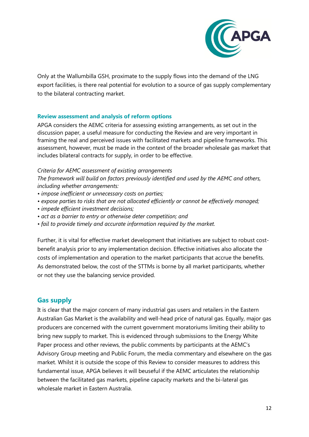![](_page_12_Picture_0.jpeg)

Only at the Wallumbilla GSH, proximate to the supply flows into the demand of the LNG export facilities, is there real potential for evolution to a source of gas supply complementary to the bilateral contracting market.

#### <span id="page-12-0"></span>**Review assessment and analysis of reform options**

APGA considers the AEMC criteria for assessing existing arrangements, as set out in the discussion paper, a useful measure for conducting the Review and are very important in framing the real and perceived issues with facilitated markets and pipeline frameworks. This assessment, however, must be made in the context of the broader wholesale gas market that includes bilateral contracts for supply, in order to be effective.

*Criteria for AEMC assessment of existing arrangements*

*The framework will build on factors previously identified and used by the AEMC and others, including whether arrangements:*

- *impose inefficient or unnecessary costs on parties;*
- *expose parties to risks that are not allocated efficiently or cannot be effectively managed;*
- *impede efficient investment decisions;*
- *act as a barrier to entry or otherwise deter competition; and*
- *fail to provide timely and accurate information required by the market.*

Further, it is vital for effective market development that initiatives are subject to robust costbenefit analysis prior to any implementation decision. Effective initiatives also allocate the costs of implementation and operation to the market participants that accrue the benefits. As demonstrated below, the cost of the STTMs is borne by all market participants, whether or not they use the balancing service provided.

#### <span id="page-12-1"></span>**Gas supply**

It is clear that the major concern of many industrial gas users and retailers in the Eastern Australian Gas Market is the availability and well-head price of natural gas. Equally, major gas producers are concerned with the current government moratoriums limiting their ability to bring new supply to market. This is evidenced through submissions to the Energy White Paper process and other reviews, the public comments by participants at the AEMC's Advisory Group meeting and Public Forum, the media commentary and elsewhere on the gas market. Whilst it is outside the scope of this Review to consider measures to address this fundamental issue, APGA believes it will beuseful if the AEMC articulates the relationship between the facilitated gas markets, pipeline capacity markets and the bi-lateral gas wholesale market in Eastern Australia.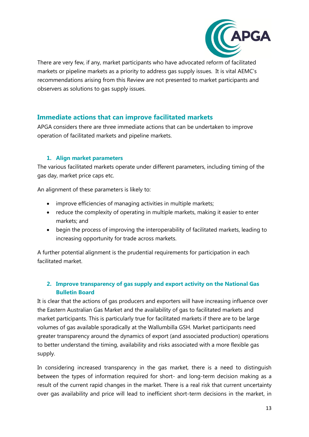![](_page_13_Picture_0.jpeg)

There are very few, if any, market participants who have advocated reform of facilitated markets or pipeline markets as a priority to address gas supply issues. It is vital AEMC's recommendations arising from this Review are not presented to market participants and observers as solutions to gas supply issues.

## <span id="page-13-0"></span>**Immediate actions that can improve facilitated markets**

APGA considers there are three immediate actions that can be undertaken to improve operation of facilitated markets and pipeline markets.

#### **1. Align market parameters**

<span id="page-13-1"></span>The various facilitated markets operate under different parameters, including timing of the gas day, market price caps etc.

An alignment of these parameters is likely to:

- improve efficiencies of managing activities in multiple markets;
- reduce the complexity of operating in multiple markets, making it easier to enter markets; and
- begin the process of improving the interoperability of facilitated markets, leading to increasing opportunity for trade across markets.

A further potential alignment is the prudential requirements for participation in each facilitated market.

## <span id="page-13-2"></span>**2. Improve transparency of gas supply and export activity on the National Gas Bulletin Board**

It is clear that the actions of gas producers and exporters will have increasing influence over the Eastern Australian Gas Market and the availability of gas to facilitated markets and market participants. This is particularly true for facilitated markets if there are to be large volumes of gas available sporadically at the Wallumbilla GSH. Market participants need greater transparency around the dynamics of export (and associated production) operations to better understand the timing, availability and risks associated with a more flexible gas supply.

In considering increased transparency in the gas market, there is a need to distinguish between the types of information required for short- and long-term decision making as a result of the current rapid changes in the market. There is a real risk that current uncertainty over gas availability and price will lead to inefficient short-term decisions in the market, in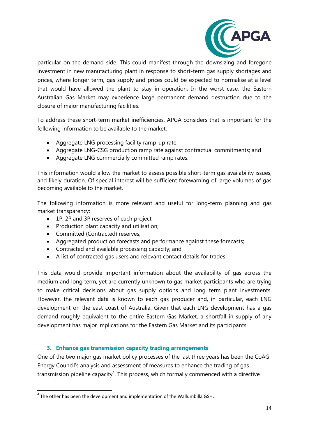![](_page_14_Picture_0.jpeg)

particular on the demand side. This could manifest through the downsizing and foregone investment in new manufacturing plant in response to short-term gas supply shortages and prices, where longer term, gas supply and prices could be expected to normalise at a level that would have allowed the plant to stay in operation. In the worst case, the Eastern Australian Gas Market may experience large permanent demand destruction due to the closure of major manufacturing facilities.

To address these short-term market inefficiencies, APGA considers that is important for the following information to be available to the market:

- Aggregate LNG processing facility ramp-up rate;
- Aggregate LNG-CSG production ramp rate against contractual commitments; and
- Aggregate LNG commercially committed ramp rates.

This information would allow the market to assess possible short-term gas availability issues, and likely duration. Of special interest will be sufficient forewarning of large volumes of gas becoming available to the market.

The following information is more relevant and useful for long-term planning and gas market transparency:

- 1P, 2P and 3P reserves of each project;
- Production plant capacity and utilisation;
- Committed (Contracted) reserves;
- Aggregated production forecasts and performance against these forecasts;
- Contracted and available processing capacity; and
- A list of contracted gas users and relevant contact details for trades.

This data would provide important information about the availability of gas across the medium and long term, yet are currently unknown to gas market participants who are trying to make critical decisions about gas supply options and long term plant investments. However, the relevant data is known to each gas producer and, in particular, each LNG development on the east coast of Australia. Given that each LNG development has a gas demand roughly equivalent to the entire Eastern Gas Market, a shortfall in supply of any development has major implications for the Eastern Gas Market and its participants.

#### **3. Enhance gas transmission capacity trading arrangements**

<span id="page-14-0"></span>One of the two major gas market policy processes of the last three years has been the CoAG Energy Council's analysis and assessment of measures to enhance the trading of gas transmission pipeline capacity<sup>4</sup>. This process, which formally commenced with a directive

**<sup>.</sup>**  $<sup>4</sup>$  The other has been the development and implementation of the Wallumbilla GSH.</sup>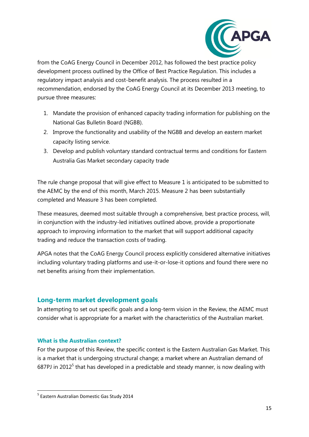![](_page_15_Picture_0.jpeg)

from the CoAG Energy Council in December 2012, has followed the best practice policy development process outlined by the Office of Best Practice Regulation. This includes a regulatory impact analysis and cost-benefit analysis. The process resulted in a recommendation, endorsed by the CoAG Energy Council at its December 2013 meeting, to pursue three measures:

- 1. Mandate the provision of enhanced capacity trading information for publishing on the National Gas Bulletin Board (NGBB).
- 2. Improve the functionality and usability of the NGBB and develop an eastern market capacity listing service.
- 3. Develop and publish voluntary standard contractual terms and conditions for Eastern Australia Gas Market secondary capacity trade

The rule change proposal that will give effect to Measure 1 is anticipated to be submitted to the AEMC by the end of this month, March 2015. Measure 2 has been substantially completed and Measure 3 has been completed.

These measures, deemed most suitable through a comprehensive, best practice process, will, in conjunction with the industry-led initiatives outlined above, provide a proportionate approach to improving information to the market that will support additional capacity trading and reduce the transaction costs of trading.

APGA notes that the CoAG Energy Council process explicitly considered alternative initiatives including voluntary trading platforms and use-it-or-lose-it options and found there were no net benefits arising from their implementation.

#### <span id="page-15-0"></span>**Long-term market development goals**

In attempting to set out specific goals and a long-term vision in the Review, the AEMC must consider what is appropriate for a market with the characteristics of the Australian market.

#### <span id="page-15-1"></span>**What is the Australian context?**

For the purpose of this Review, the specific context is the Eastern Australian Gas Market. This is a market that is undergoing structural change; a market where an Australian demand of 687PJ in 2012<sup>5</sup> that has developed in a predictable and steady manner, is now dealing with

**<sup>.</sup>** 5 Eastern Australian Domestic Gas Study 2014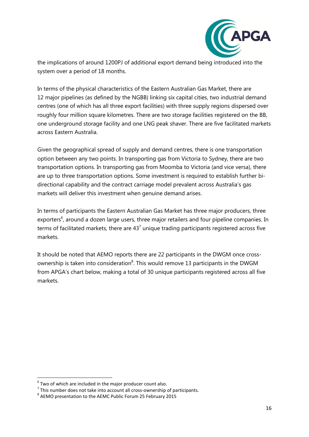![](_page_16_Picture_0.jpeg)

the implications of around 1200PJ of additional export demand being introduced into the system over a period of 18 months.

In terms of the physical characteristics of the Eastern Australian Gas Market, there are 12 major pipelines (as defined by the NGBB) linking six capital cities, two industrial demand centres (one of which has all three export facilities) with three supply regions dispersed over roughly four million square kilometres. There are two storage facilities registered on the BB, one underground storage facility and one LNG peak shaver. There are five facilitated markets across Eastern Australia.

Given the geographical spread of supply and demand centres, there is one transportation option between any two points. In transporting gas from Victoria to Sydney, there are two transportation options. In transporting gas from Moomba to Victoria (and vice versa), there are up to three transportation options. Some investment is required to establish further bidirectional capability and the contract carriage model prevalent across Australia's gas markets will deliver this investment when genuine demand arises.

In terms of participants the Eastern Australian Gas Market has three major producers, three exporters<sup>6</sup>, around a dozen large users, three major retailers and four pipeline companies. In terms of facilitated markets, there are  $43<sup>7</sup>$  unique trading participants registered across five markets.

It should be noted that AEMO reports there are 22 participants in the DWGM once crossownership is taken into consideration ${}^{8}$ . This would remove 13 participants in the DWGM from APGA's chart below, making a total of 30 unique participants registered across all five markets.

**.** 

 $<sup>6</sup>$  Two of which are included in the major producer count also.</sup>

 $<sup>7</sup>$  This number does not take into account all cross-ownership of participants.</sup>

<sup>&</sup>lt;sup>8</sup> AEMO presentation to the AEMC Public Forum 25 February 2015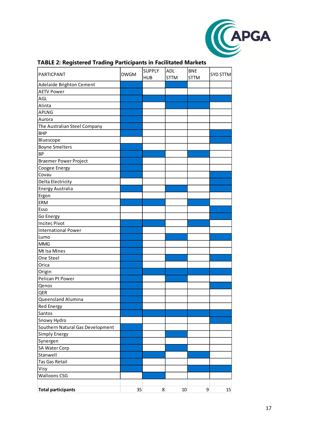![](_page_17_Picture_0.jpeg)

| ັ                                |             | <b>SUPPLY</b> | <b>ADL</b>  | <b>BNE</b>  |          |
|----------------------------------|-------------|---------------|-------------|-------------|----------|
| PARTICPANT                       | <b>DWGM</b> | <b>HUB</b>    | <b>STTM</b> | <b>STTM</b> | SYD STTM |
| Adelaide Brighton Cement         |             |               |             |             |          |
| <b>AETV Power</b>                |             |               |             |             |          |
| AGL                              |             |               |             |             |          |
| Alinta                           |             |               |             |             |          |
| <b>APLNG</b>                     |             |               |             |             |          |
| Aurora                           |             |               |             |             |          |
| The Australian Steel Company     |             |               |             |             |          |
| <b>BHP</b>                       |             |               |             |             |          |
| Bluescope                        |             |               |             |             |          |
| <b>Boyne Smelters</b>            |             |               |             |             |          |
| BP                               |             |               |             |             |          |
| <b>Braemer Power Project</b>     |             |               |             |             |          |
| Coogee Energy                    |             |               |             |             |          |
| Covau                            |             |               |             |             |          |
| Delta Electricity                |             |               |             |             |          |
| <b>Energy Australia</b>          |             |               |             |             |          |
| Ergon                            |             |               |             |             |          |
| <b>ERM</b>                       |             |               |             |             |          |
| Esso                             |             |               |             |             |          |
| Go Energy                        |             |               |             |             |          |
| <b>Incitec Pivot</b>             |             |               |             |             |          |
| <b>International Power</b>       |             |               |             |             |          |
| Lumo                             |             |               |             |             |          |
| <b>MMG</b>                       |             |               |             |             |          |
| Mt Isa Mines                     |             |               |             |             |          |
| One Steel                        |             |               |             |             |          |
| Orica                            |             |               |             |             |          |
| Origin                           |             |               |             |             |          |
| Pelican Pt Power                 |             |               |             |             |          |
| Qenos                            |             |               |             |             |          |
| QER                              |             |               |             |             |          |
| Queensland Alumina               |             |               |             |             |          |
| <b>Red Energy</b>                |             |               |             |             |          |
| Santos                           |             |               |             |             |          |
| Snowy Hydro                      |             |               |             |             |          |
| Southern Natural Gas Development |             |               |             |             |          |
| Simply Energy                    |             |               |             |             |          |
| Synergen                         |             |               |             |             |          |
| SA Water Corp                    |             |               |             |             |          |
| Stanwell                         |             |               |             |             |          |
| Tas Gas Retail                   |             |               |             |             |          |
| Visy                             |             |               |             |             |          |
| <b>Walloons CSG</b>              |             |               |             |             |          |
|                                  |             |               |             |             |          |
| <b>Total participants</b>        | 35          | 8             | 10          | 9           | 15       |

#### **TABLE 2: Registered Trading Participants in Facilitated Markets**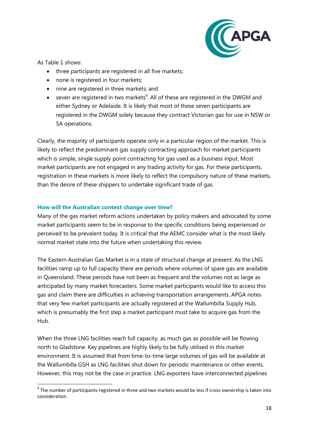![](_page_18_Picture_0.jpeg)

As Table 1 shows:

- three participants are registered in all five markets;
- none is registered in four markets;
- nine are registered in three markets; and
- seven are registered in two markets<sup>9</sup>. All of these are registered in the DWGM and either Sydney or Adelaide. It is likely that most of these seven participants are registered in the DWGM solely because they contract Victorian gas for use in NSW or SA operations.

Clearly, the majority of participants operate only in a particular region of the market. This is likely to reflect the predominant gas supply contracting approach for market participants which is simple, single supply point contracting for gas used as a business input. Most market participants are not engaged in any trading activity for gas. For these participants, registration in these markets is more likely to reflect the compulsory nature of these markets, than the desire of these shippers to undertake significant trade of gas.

#### <span id="page-18-0"></span>**How will the Australian context change over time?**

Many of the gas market reform actions undertaken by policy makers and advocated by some market participants seem to be in response to the specific conditions being experienced or perceived to be prevalent today. It is critical that the AEMC consider what is the most likely normal market state into the future when undertaking this review.

The Eastern Australian Gas Market is in a state of structural change at present. As the LNG facilities ramp up to full capacity there are periods where volumes of spare gas are available in Queensland. These periods have not been as frequent and the volumes not as large as anticipated by many market forecasters. Some market participants would like to access this gas and claim there are difficulties in achieving transportation arrangements. APGA notes that very few market participants are actually registered at the Wallumbilla Supply Hub, which is presumably the first step a market participant must take to acquire gas from the Hub.

When the three LNG facilities reach full capacity, as much gas as possible will be flowing north to Gladstone. Key pipelines are highly likely to be fully utilised in this market environment. It is assumed that from time-to-time large volumes of gas will be available at the Wallumbilla GSH as LNG facilities shut down for periodic maintenance or other events. However, this may not be the case in practice. LNG exporters have interconnected pipelines

 9 The number of participants registered in three and two markets would be less if cross-ownership is taken into consideration.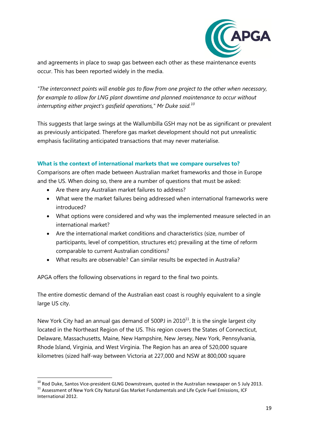![](_page_19_Picture_0.jpeg)

and agreements in place to swap gas between each other as these maintenance events occur. This has been reported widely in the media.

*"The interconnect points will enable gas to flow from one project to the other when necessary, for example to allow for LNG plant downtime and planned maintenance to occur without interrupting either project's gasfield operations," Mr Duke said.<sup>10</sup>*

This suggests that large swings at the Wallumbilla GSH may not be as significant or prevalent as previously anticipated. Therefore gas market development should not put unrealistic emphasis facilitating anticipated transactions that may never materialise.

#### <span id="page-19-0"></span>**What is the context of international markets that we compare ourselves to?**

Comparisons are often made between Australian market frameworks and those in Europe and the US. When doing so, there are a number of questions that must be asked:

- Are there any Australian market failures to address?
- What were the market failures being addressed when international frameworks were introduced?
- What options were considered and why was the implemented measure selected in an international market?
- Are the international market conditions and characteristics (size, number of participants, level of competition, structures etc) prevailing at the time of reform comparable to current Australian conditions?
- What results are observable? Can similar results be expected in Australia?

APGA offers the following observations in regard to the final two points.

The entire domestic demand of the Australian east coast is roughly equivalent to a single large US city.

New York City had an annual gas demand of 500PJ in  $2010^{11}$ . It is the single largest city located in the Northeast Region of the US. This region covers the States of Connecticut, Delaware, Massachusetts, Maine, New Hampshire, New Jersey, New York, Pennsylvania, Rhode Island, Virginia, and West Virginia. The Region has an area of 520,000 square kilometres (sized half-way between Victoria at 227,000 and NSW at 800,000 square

**<sup>.</sup>**  $^{10}$  Rod Duke, Santos Vice-president GLNG Downstream, quoted in the Australian newspaper on 5 July 2013.  $11$  Assessment of New York City Natural Gas Market Fundamentals and Life Cycle Fuel Emissions, ICF International 2012.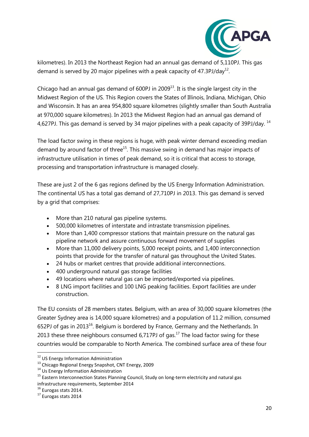![](_page_20_Picture_0.jpeg)

kilometres). In 2013 the Northeast Region had an annual gas demand of 5,110PJ. This gas demand is served by 20 major pipelines with a peak capacity of 47.3PJ/day<sup>12</sup>.

Chicago had an annual gas demand of 600PJ in 2009 $^{13}$ . It is the single largest city in the Midwest Region of the US. This Region covers the States of Illinois, Indiana, Michigan, Ohio and Wisconsin. It has an area 954,800 square kilometres (slightly smaller than South Australia at 970,000 square kilometres). In 2013 the Midwest Region had an annual gas demand of 4,627PJ. This gas demand is served by 34 major pipelines with a peak capacity of 39PJ/day.  $^{14}$ 

The load factor swing in these regions is huge, with peak winter demand exceeding median demand by around factor of three $15$ . This massive swing in demand has major impacts of infrastructure utilisation in times of peak demand, so it is critical that access to storage, processing and transportation infrastructure is managed closely.

These are just 2 of the 6 gas regions defined by the US Energy Information Administration. The continental US has a total gas demand of 27,710PJ in 2013. This gas demand is served by a grid that comprises:

- More than 210 natural gas pipeline systems.
- 500,000 kilometres of interstate and intrastate transmission pipelines.
- More than 1,400 compressor stations that maintain pressure on the natural gas pipeline network and assure continuous forward movement of supplies
- More than 11,000 delivery points, 5,000 receipt points, and 1,400 interconnection points that provide for the transfer of natural gas throughout the United States.
- 24 hubs or market centres that provide additional interconnections.
- 400 underground natural gas storage facilities
- 49 locations where natural gas can be imported/exported via pipelines.
- 8 LNG import facilities and 100 LNG peaking facilities. Export facilities are under construction.

The EU consists of 28 members states. Belgium, with an area of 30,000 square kilometres (the Greater Sydney area is 14,000 square kilometres) and a population of 11.2 million, consumed 652PJ of gas in 2013<sup>16</sup>. Belgium is bordered by France, Germany and the Netherlands. In 2013 these three neighbours consumed  $6,717P$ J of gas.<sup>17</sup> The load factor swing for these countries would be comparable to North America. The combined surface area of these four

 $\overline{\phantom{a}}$ 

<sup>&</sup>lt;sup>12</sup> US Energy Information Administration

<sup>13</sup> Chicago Regional Energy Snapshot, CNT Energy, 2009

<sup>14</sup> Us Energy Information Administration

<sup>&</sup>lt;sup>15</sup> Eastern Interconnection States Planning Council, Study on long-term electricity and natural gas infrastructure requirements, September 2014

<sup>&</sup>lt;sup>16</sup> Eurogas stats 2014.

<sup>17</sup> Eurogas stats 2014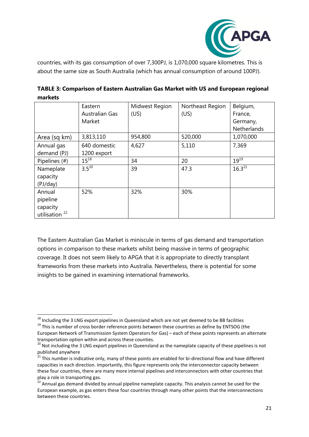![](_page_21_Picture_0.jpeg)

countries, with its gas consumption of over 7,300PJ, is 1,070,000 square kilometres. This is about the same size as South Australia (which has annual consumption of around 100PJ).

| TABLE 3: Comparison of Eastern Australian Gas Market with US and European regional |  |
|------------------------------------------------------------------------------------|--|
| markets                                                                            |  |

|                           | Eastern               | Midwest Region | Northeast Region | Belgium,    |
|---------------------------|-----------------------|----------------|------------------|-------------|
|                           | <b>Australian Gas</b> | (US)           | (US)             | France,     |
|                           | Market                |                |                  | Germany,    |
|                           |                       |                |                  | Netherlands |
| Area (sq km)              | 3,813,110             | 954,800        | 520,000          | 1,070,000   |
| Annual gas                | 640 domestic          | 4,627          | 5,110            | 7,369       |
| demand (PJ)               | 1200 export           |                |                  |             |
| Pipelines (#)             | $15^{18}$             | 34             | 20               | $19^{19}$   |
| Nameplate                 | $3.5^{20}$            | 39             | 47.3             | $16.3^{21}$ |
| capacity                  |                       |                |                  |             |
| (PJ/day)                  |                       |                |                  |             |
| Annual                    | 52%                   | 32%            | 30%              |             |
| pipeline                  |                       |                |                  |             |
| capacity                  |                       |                |                  |             |
| utilisation <sup>22</sup> |                       |                |                  |             |

The Eastern Australian Gas Market is miniscule in terms of gas demand and transportation options in comparison to these markets whilst being massive in terms of geographic coverage. It does not seem likely to APGA that it is appropriate to directly transplant frameworks from these markets into Australia. Nevertheless, there is potential for some insights to be gained in examining international frameworks.

<sup>1</sup>  $^{18}$  Including the 3 LNG export pipelines in Queensland which are not yet deemed to be BB facilities

<sup>&</sup>lt;sup>19</sup> This is number of cross border reference points between these countries as define by ENTSOG (the

European Network of Transmission System Operators for Gas) – each of these points represents an alternate transportation option within and across these counties.

<sup>20</sup> Not including the 3 LNG export pipelines in Queensland as the nameplate capacity of these pipelines is not published anywhere

<sup>&</sup>lt;sup>21</sup> This number is indicative only, many of these points are enabled for bi-directional flow and have different capacities in each direction. Importantly, this figure represents only the interconnector capacity between these four countries, there are many more internal pipelines and interconnectors with other countries that play a role in transporting gas.

 $22$  Annual gas demand divided by annual pipeline nameplate capacity. This analysis cannot be used for the European example, as gas enters these four countries through many other points that the interconnections between these countries.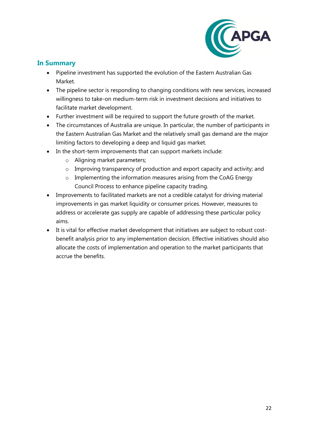![](_page_22_Picture_0.jpeg)

## <span id="page-22-0"></span>**In Summary**

- Pipeline investment has supported the evolution of the Eastern Australian Gas Market.
- The pipeline sector is responding to changing conditions with new services, increased willingness to take-on medium-term risk in investment decisions and initiatives to facilitate market development.
- Further investment will be required to support the future growth of the market.
- The circumstances of Australia are unique. In particular, the number of participants in the Eastern Australian Gas Market and the relatively small gas demand are the major limiting factors to developing a deep and liquid gas market.
- In the short-term improvements that can support markets include:
	- o Aligning market parameters;
	- o Improving transparency of production and export capacity and activity; and
	- o Implementing the information measures arising from the CoAG Energy Council Process to enhance pipeline capacity trading.
- Improvements to facilitated markets are not a credible catalyst for driving material improvements in gas market liquidity or consumer prices. However, measures to address or accelerate gas supply are capable of addressing these particular policy aims.
- It is vital for effective market development that initiatives are subject to robust costbenefit analysis prior to any implementation decision. Effective initiatives should also allocate the costs of implementation and operation to the market participants that accrue the benefits.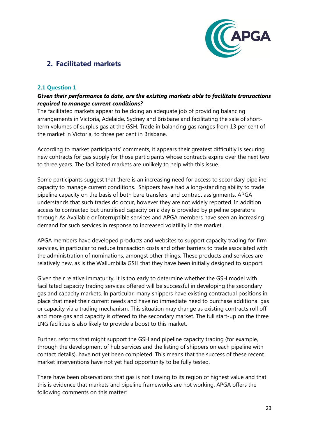![](_page_23_Picture_0.jpeg)

# <span id="page-23-0"></span>**2. Facilitated markets**

#### <span id="page-23-1"></span>**2.1 Question 1**

#### *Given their performance to date, are the existing markets able to facilitate transactions required to manage current conditions?*

The facilitated markets appear to be doing an adequate job of providing balancing arrangements in Victoria, Adelaide, Sydney and Brisbane and facilitating the sale of shortterm volumes of surplus gas at the GSH. Trade in balancing gas ranges from 13 per cent of the market in Victoria, to three per cent in Brisbane.

According to market participants' comments, it appears their greatest difficultly is securing new contracts for gas supply for those participants whose contracts expire over the next two to three years. The facilitated markets are unlikely to help with this issue.

Some participants suggest that there is an increasing need for access to secondary pipeline capacity to manage current conditions. Shippers have had a long-standing ability to trade pipeline capacity on the basis of both bare transfers, and contract assignments. APGA understands that such trades do occur, however they are not widely reported. In addition access to contracted but unutilised capacity on a day is provided by pipeline operators through As Available or Interruptible services and APGA members have seen an increasing demand for such services in response to increased volatility in the market.

APGA members have developed products and websites to support capacity trading for firm services, in particular to reduce transaction costs and other barriers to trade associated with the administration of nominations, amongst other things. These products and services are relatively new, as is the Wallumbilla GSH that they have been initially designed to support.

Given their relative immaturity, it is too early to determine whether the GSH model with facilitated capacity trading services offered will be successful in developing the secondary gas and capacity markets. In particular, many shippers have existing contractual positions in place that meet their current needs and have no immediate need to purchase additional gas or capacity via a trading mechanism. This situation may change as existing contracts roll off and more gas and capacity is offered to the secondary market. The full start-up on the three LNG facilities is also likely to provide a boost to this market.

Further, reforms that might support the GSH and pipeline capacity trading (for example, through the development of hub services and the listing of shippers on each pipeline with contact details), have not yet been completed. This means that the success of these recent market interventions have not yet had opportunity to be fully tested.

There have been observations that gas is not flowing to its region of highest value and that this is evidence that markets and pipeline frameworks are not working. APGA offers the following comments on this matter: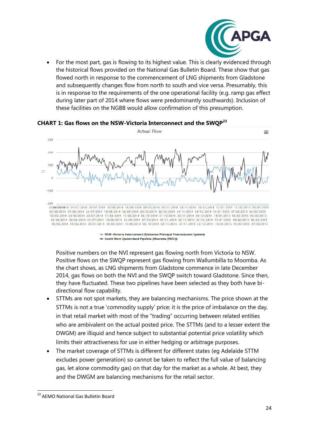![](_page_24_Picture_0.jpeg)

• For the most part, gas is flowing to its highest value. This is clearly evidenced through the historical flows provided on the National Gas Bulletin Board. These show that gas flowed north in response to the commencement of LNG shipments from Gladstone and subsequently changes flow from north to south and vice versa. Presumably, this is in response to the requirements of the one operational facility (e.g. ramp gas effect during later part of 2014 where flows were predominantly southwards). Inclusion of these facilities on the NGBB would allow confirmation of this presumption.

#### **CHART 1: Gas flows on the NSW-Victoria Interconnect and the SWQP<sup>23</sup>**

![](_page_24_Figure_3.jpeg)

<sup>•</sup> NSW-Victoria Interconnect (Victorian Principal Transmission System) + South West Queensland Pipeline (Moomba (MOO))

Positive numbers on the NVI represent gas flowing north from Victoria to NSW. Positive flows on the SWQP represent gas flowing from Wallumbilla to Moomba. As the chart shows, as LNG shipments from Gladstone commence in late December 2014, gas flows on both the NVI and the SWQP switch toward Gladstone. Since then, they have fluctuated. These two pipelines have been selected as they both have bidirectional flow capability.

- STTMs are not spot markets, they are balancing mechanisms. The price shown at the STTMs is not a true 'commodity supply' price; it is the price of imbalance on the day, in that retail market with most of the "trading" occurring between related entities who are ambivalent on the actual posted price. The STTMs (and to a lesser extent the DWGM) are illiquid and hence subject to substantial potential price volatility which limits their attractiveness for use in either hedging or arbitrage purposes.
- The market coverage of STTMs is different for different states (eg Adelaide STTM excludes power generation) so cannot be taken to reflect the full value of balancing gas, let alone commodity gas) on that day for the market as a whole. At best, they and the DWGM are balancing mechanisms for the retail sector.

**<sup>.</sup>** <sup>23</sup> AEMO National Gas Bulletin Board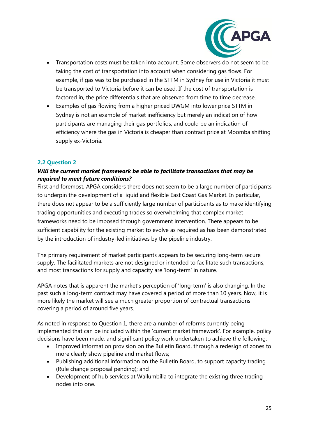![](_page_25_Picture_0.jpeg)

- Transportation costs must be taken into account. Some observers do not seem to be taking the cost of transportation into account when considering gas flows. For example, if gas was to be purchased in the STTM in Sydney for use in Victoria it must be transported to Victoria before it can be used. If the cost of transportation is factored in, the price differentials that are observed from time to time decrease.
- Examples of gas flowing from a higher priced DWGM into lower price STTM in Sydney is not an example of market inefficiency but merely an indication of how participants are managing their gas portfolios, and could be an indication of efficiency where the gas in Victoria is cheaper than contract price at Moomba shifting supply ex-Victoria.

#### <span id="page-25-0"></span>**2.2 Question 2**

#### *Will the current market framework be able to facilitate transactions that may be required to meet future conditions?*

First and foremost, APGA considers there does not seem to be a large number of participants to underpin the development of a liquid and flexible East Coast Gas Market. In particular, there does not appear to be a sufficiently large number of participants as to make identifying trading opportunities and executing trades so overwhelming that complex market frameworks need to be imposed through government intervention. There appears to be sufficient capability for the existing market to evolve as required as has been demonstrated by the introduction of industry-led initiatives by the pipeline industry.

The primary requirement of market participants appears to be securing long-term secure supply. The facilitated markets are not designed or intended to facilitate such transactions, and most transactions for supply and capacity are 'long-term' in nature.

APGA notes that is apparent the market's perception of 'long-term' is also changing. In the past such a long-term contract may have covered a period of more than 10 years. Now, it is more likely the market will see a much greater proportion of contractual transactions covering a period of around five years.

As noted in response to Question 1, there are a number of reforms currently being implemented that can be included within the 'current market framework'. For example, policy decisions have been made, and significant policy work undertaken to achieve the following:

- Improved information provision on the Bulletin Board, through a redesign of zones to more clearly show pipeline and market flows;
- Publishing additional information on the Bulletin Board, to support capacity trading (Rule change proposal pending); and
- Development of hub services at Wallumbilla to integrate the existing three trading nodes into one.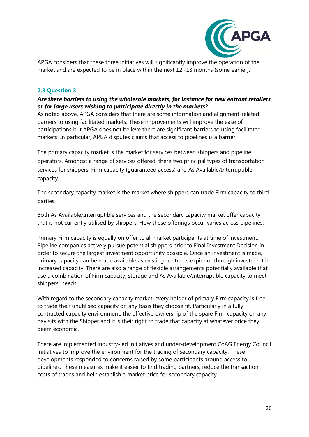![](_page_26_Picture_0.jpeg)

APGA considers that these three initiatives will significantly improve the operation of the market and are expected to be in place within the next 12 -18 months (some earlier).

#### <span id="page-26-0"></span>**2.3 Question 3**

#### *Are there barriers to using the wholesale markets, for instance for new entrant retailers or for large users wishing to participate directly in the markets?*

As noted above, APGA considers that there are some information and alignment-related barriers to using facilitated markets. These improvements will improve the ease of participations but APGA does not believe there are significant barriers to using facilitated markets. In particular, APGA disputes claims that access to pipelines is a barrier.

The primary capacity market is the market for services between shippers and pipeline operators. Amongst a range of services offered, there two principal types of transportation services for shippers, Firm capacity (guaranteed access) and As Available/Interruptible capacity.

The secondary capacity market is the market where shippers can trade Firm capacity to third parties.

Both As Available/Interruptible services and the secondary capacity market offer capacity that is not currently utilised by shippers. How these offerings occur varies across pipelines.

Primary Firm capacity is equally on offer to all market participants at time of investment. Pipeline companies actively pursue potential shippers prior to Final Investment Decision in order to secure the largest investment opportunity possible. Once an investment is made, primary capacity can be made available as existing contracts expire or through investment in increased capacity. There are also a range of flexible arrangements potentially available that use a combination of Firm capacity, storage and As Available/Interruptible capacity to meet shippers' needs.

With regard to the secondary capacity market, every holder of primary Firm capacity is free to trade their unutilised capacity on any basis they choose fit. Particularly in a fully contracted capacity environment, the effective ownership of the spare Firm capacity on any day sits with the Shipper and it is their right to trade that capacity at whatever price they deem economic.

There are implemented industry-led initiatives and under-development CoAG Energy Council initiatives to improve the environment for the trading of secondary capacity. These developments responded to concerns raised by some participants around access to pipelines. These measures make it easier to find trading partners, reduce the transaction costs of trades and help establish a market price for secondary capacity.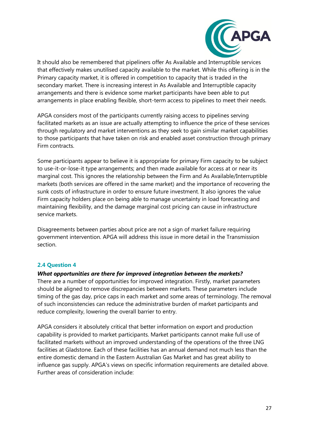![](_page_27_Picture_0.jpeg)

It should also be remembered that pipeliners offer As Available and Interruptible services that effectively makes unutilised capacity available to the market. While this offering is in the Primary capacity market, it is offered in competition to capacity that is traded in the secondary market. There is increasing interest in As Available and Interruptible capacity arrangements and there is evidence some market participants have been able to put arrangements in place enabling flexible, short-term access to pipelines to meet their needs.

APGA considers most of the participants currently raising access to pipelines serving facilitated markets as an issue are actually attempting to influence the price of these services through regulatory and market interventions as they seek to gain similar market capabilities to those participants that have taken on risk and enabled asset construction through primary Firm contracts.

Some participants appear to believe it is appropriate for primary Firm capacity to be subject to use-it-or-lose-it type arrangements; and then made available for access at or near its marginal cost. This ignores the relationship between the Firm and As Available/Interruptible markets (both services are offered in the same market) and the importance of recovering the sunk costs of infrastructure in order to ensure future investment. It also ignores the value Firm capacity holders place on being able to manage uncertainty in load forecasting and maintaining flexibility, and the damage marginal cost pricing can cause in infrastructure service markets.

Disagreements between parties about price are not a sign of market failure requiring government intervention. APGA will address this issue in more detail in the Transmission section.

#### <span id="page-27-0"></span>**2.4 Question 4**

#### *What opportunities are there for improved integration between the markets?*

There are a number of opportunities for improved integration. Firstly, market parameters should be aligned to remove discrepancies between markets. These parameters include timing of the gas day, price caps in each market and some areas of terminology. The removal of such inconsistencies can reduce the administrative burden of market participants and reduce complexity, lowering the overall barrier to entry.

APGA considers it absolutely critical that better information on export and production capability is provided to market participants. Market participants cannot make full use of facilitated markets without an improved understanding of the operations of the three LNG facilities at Gladstone. Each of these facilities has an annual demand not much less than the entire domestic demand in the Eastern Australian Gas Market and has great ability to influence gas supply. APGA's views on specific information requirements are detailed above. Further areas of consideration include: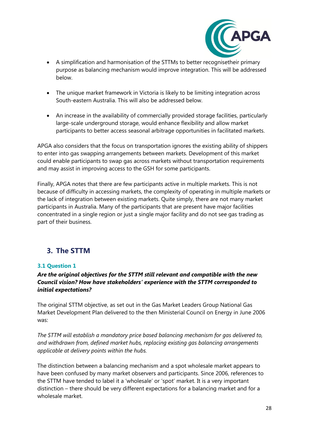![](_page_28_Picture_0.jpeg)

- A simplification and harmonisation of the STTMs to better recognisetheir primary purpose as balancing mechanism would improve integration. This will be addressed below.
- The unique market framework in Victoria is likely to be limiting integration across South-eastern Australia. This will also be addressed below.
- An increase in the availability of commercially provided storage facilities, particularly large-scale underground storage, would enhance flexibility and allow market participants to better access seasonal arbitrage opportunities in facilitated markets.

APGA also considers that the focus on transportation ignores the existing ability of shippers to enter into gas swapping arrangements between markets. Development of this market could enable participants to swap gas across markets without transportation requirements and may assist in improving access to the GSH for some participants.

Finally, APGA notes that there are few participants active in multiple markets. This is not because of difficulty in accessing markets, the complexity of operating in multiple markets or the lack of integration between existing markets. Quite simply, there are not many market participants in Australia. Many of the participants that are present have major facilities concentrated in a single region or just a single major facility and do not see gas trading as part of their business.

# <span id="page-28-0"></span>**3. The STTM**

#### <span id="page-28-1"></span>**3.1 Question 1**

#### *Are the original objectives for the STTM still relevant and compatible with the new Council vision? How have stakeholders' experience with the STTM corresponded to initial expectations?*

The original STTM objective, as set out in the Gas Market Leaders Group National Gas Market Development Plan delivered to the then Ministerial Council on Energy in June 2006 was:

*The STTM will establish a mandatory price based balancing mechanism for gas delivered to, and withdrawn from, defined market hubs, replacing existing gas balancing arrangements applicable at delivery points within the hubs.*

The distinction between a balancing mechanism and a spot wholesale market appears to have been confused by many market observers and participants. Since 2006, references to the STTM have tended to label it a 'wholesale' or 'spot' market. It is a very important distinction – there should be very different expectations for a balancing market and for a wholesale market.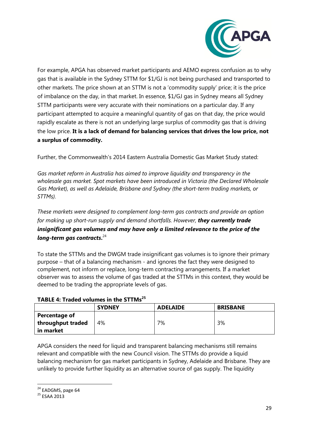![](_page_29_Picture_0.jpeg)

For example, APGA has observed market participants and AEMO express confusion as to why gas that is available in the Sydney STTM for \$1/GJ is not being purchased and transported to other markets. The price shown at an STTM is not a 'commodity supply' price; it is the price of imbalance on the day, in that market. In essence, \$1/GJ gas in Sydney means all Sydney STTM participants were very accurate with their nominations on a particular day. If any participant attempted to acquire a meaningful quantity of gas on that day, the price would rapidly escalate as there is not an underlying large surplus of commodity gas that is driving the low price. **It is a lack of demand for balancing services that drives the low price, not a surplus of commodity.**

Further, the Commonwealth's 2014 Eastern Australia Domestic Gas Market Study stated:

*Gas market reform in Australia has aimed to improve liquidity and transparency in the wholesale gas market. Spot markets have been introduced in Victoria (the Declared Wholesale Gas Market), as well as Adelaide, Brisbane and Sydney (the short-term trading markets, or STTMs).* 

*These markets were designed to complement long-term gas contracts and provide an option for making up short-run supply and demand shortfalls. However, they currently trade insignificant gas volumes and may have only a limited relevance to the price of the long-term gas contracts***.** 24

To state the STTMs and the DWGM trade insignificant gas volumes is to ignore their primary purpose – that of a balancing mechanism - and ignores the fact they were designed to complement, not inform or replace, long-term contracting arrangements. If a market observer was to assess the volume of gas traded at the STTMs in this context, they would be deemed to be trading the appropriate levels of gas.

**TABLE 4: Traded volumes in the STTMs<sup>25</sup>**

|                   | <b>SYDNEY</b> | <b>ADELAIDE</b> | <b>BRISBANE</b> |
|-------------------|---------------|-----------------|-----------------|
| Percentage of     |               |                 |                 |
| throughput traded | 4%            | 7%              | 3%              |
| in market         |               |                 |                 |

APGA considers the need for liquid and transparent balancing mechanisms still remains relevant and compatible with the new Council vision. The STTMs do provide a liquid balancing mechanism for gas market participants in Sydney, Adelaide and Brisbane. They are unlikely to provide further liquidity as an alternative source of gas supply. The liquidity

**<sup>.</sup>** <sup>24</sup> EADGMS, page 64

<sup>25</sup> ESAA 2013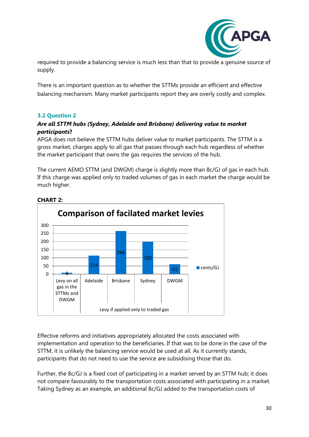![](_page_30_Picture_0.jpeg)

required to provide a balancing service is much less than that to provide a genuine source of supply.

There is an important question as to whether the STTMs provide an efficient and effective balancing mechanism. Many market participants report they are overly costly and complex.

#### <span id="page-30-0"></span>**3.2 Question 2**

#### *Are all STTM hubs (Sydney, Adelaide and Brisbane) delivering value to market participants***?**

APGA does not believe the STTM hubs deliver value to market participants. The STTM is a gross market, charges apply to all gas that passes through each hub regardless of whether the market participant that owns the gas requires the services of the hub.

The current AEMO STTM (and DWGM) charge is slightly more than 8c/GJ of gas in each hub. If this charge was applied only to traded volumes of gas in each market the charge would be much higher.

![](_page_30_Figure_7.jpeg)

#### **CHART 2:**

Effective reforms and initiatives appropriately allocated the costs associated with implementation and operation to the beneficiaries. If that was to be done in the case of the STTM, it is unlikely the balancing service would be used at all. As it currently stands, participants that do not need to use the service are subsidising those that do.

Further, the 8c/GJ is a fixed cost of participating in a market served by an STTM hub; it does not compare favourably to the transportation costs associated with participating in a market. Taking Sydney as an example, an additional 8c/GJ added to the transportation costs of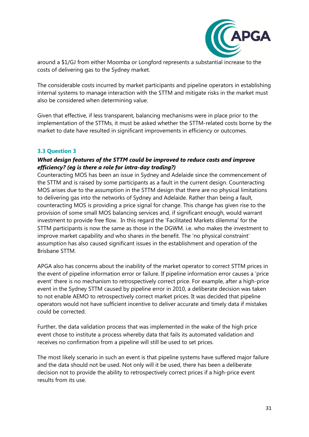![](_page_31_Picture_0.jpeg)

around a \$1/GJ from either Moomba or Longford represents a substantial increase to the costs of delivering gas to the Sydney market.

The considerable costs incurred by market participants and pipeline operators in establishing internal systems to manage interaction with the STTM and mitigate risks in the market must also be considered when determining value.

Given that effective, if less transparent, balancing mechanisms were in place prior to the implementation of the STTMs, it must be asked whether the STTM-related costs borne by the market to date have resulted in significant improvements in efficiency or outcomes.

#### <span id="page-31-0"></span>**3.3 Question 3**

#### *What design features of the STTM could be improved to reduce costs and improve efficiency? (eg is there a role for intra-day trading?)*

Counteracting MOS has been an issue in Sydney and Adelaide since the commencement of the STTM and is raised by some participants as a fault in the current design. Counteracting MOS arises due to the assumption in the STTM design that there are no physical limitations to delivering gas into the networks of Sydney and Adelaide. Rather than being a fault, counteracting MOS is providing a price signal for change. This change has given rise to the provision of some small MOS balancing services and, if significant enough, would warrant investment to provide free flow. In this regard the 'Facilitated Markets dilemma' for the STTM participants is now the same as those in the DGWM. i.e. who makes the investment to improve market capability and who shares in the benefit. The 'no physical constraint' assumption has also caused significant issues in the establishment and operation of the Brisbane STTM.

APGA also has concerns about the inability of the market operator to correct STTM prices in the event of pipeline information error or failure. If pipeline information error causes a 'price event' there is no mechanism to retrospectively correct price. For example, after a high-price event in the Sydney STTM caused by pipeline error in 2010, a deliberate decision was taken to not enable AEMO to retrospectively correct market prices. It was decided that pipeline operators would not have sufficient incentive to deliver accurate and timely data if mistakes could be corrected.

Further, the data validation process that was implemented in the wake of the high price event chose to institute a process whereby data that fails its automated validation and receives no confirmation from a pipeline will still be used to set prices.

The most likely scenario in such an event is that pipeline systems have suffered major failure and the data should not be used. Not only will it be used, there has been a deliberate decision not to provide the ability to retrospectively correct prices if a high-price event results from its use.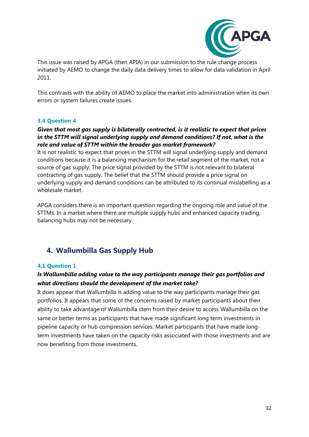![](_page_32_Picture_0.jpeg)

This issue was raised by APGA (then APIA) in our submission to the rule change process initiated by AEMO to change the daily data delivery times to allow for data validation in April 2011.

This contrasts with the ability of AEMO to place the market into administration when its own errors or system failures create issues.

#### <span id="page-32-0"></span>**3.4 Question 4**

#### *Given that most gas supply is bilaterally contracted, is it realistic to expect that prices in the STTM will signal underlying supply and demand conditions? If not, what is the role and value of STTM within the broader gas market framework?*

It is not realistic to expect that prices in the STTM will signal underlying supply and demand conditions because it is a balancing mechanism for the retail segment of the market, not a source of gas supply. The price signal provided by the STTM is not relevant to bilateral contracting of gas supply. The belief that the STTM should provide a price signal on underlying supply and demand conditions can be attributed to its continual mislabelling as a wholesale market.

APGA considers there is an important question regarding the ongoing role and value of the STTMs. In a market where there are multiple supply hubs and enhanced capacity trading, balancing hubs may not be necessary.

## <span id="page-32-1"></span>**4. Wallumbilla Gas Supply Hub**

#### <span id="page-32-2"></span>**4.1 Question 1**

#### *Is Wallumbilla adding value to the way participants manage their gas portfolios and what directions should the development of the market take?*

It does appear that Wallumbilla is adding value to the way participants manage their gas portfolios. It appears that some of the concerns raised by market participants about their ability to take advantage of Wallumbilla stem from their desire to access Wallumbilla on the same or better terms as participants that have made significant long term investments in pipeline capacity or hub compression services. Market participants that have made longterm investments have taken on the capacity risks associated with those investments and are now benefiting from those investments.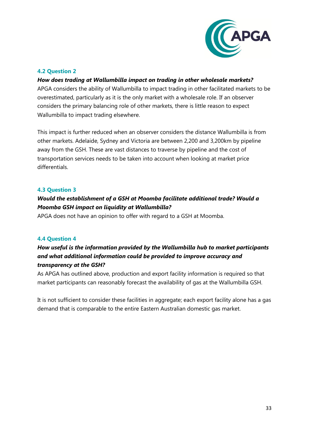![](_page_33_Picture_0.jpeg)

#### <span id="page-33-0"></span>**4.2 Question 2**

#### *How does trading at Wallumbilla impact on trading in other wholesale markets?*

APGA considers the ability of Wallumbilla to impact trading in other facilitated markets to be overestimated, particularly as it is the only market with a wholesale role. If an observer considers the primary balancing role of other markets, there is little reason to expect Wallumbilla to impact trading elsewhere.

This impact is further reduced when an observer considers the distance Wallumbilla is from other markets. Adelaide, Sydney and Victoria are between 2,200 and 3,200km by pipeline away from the GSH. These are vast distances to traverse by pipeline and the cost of transportation services needs to be taken into account when looking at market price differentials.

#### <span id="page-33-1"></span>**4.3 Question 3**

### *Would the establishment of a GSH at Moomba facilitate additional trade? Would a Moomba GSH impact on liquidity at Wallumbilla?*

APGA does not have an opinion to offer with regard to a GSH at Moomba.

#### <span id="page-33-2"></span>**4.4 Question 4**

## *How useful is the information provided by the Wallumbilla hub to market participants and what additional information could be provided to improve accuracy and transparency at the GSH?*

As APGA has outlined above, production and export facility information is required so that market participants can reasonably forecast the availability of gas at the Wallumbilla GSH.

<span id="page-33-3"></span>It is not sufficient to consider these facilities in aggregate; each export facility alone has a gas demand that is comparable to the entire Eastern Australian domestic gas market.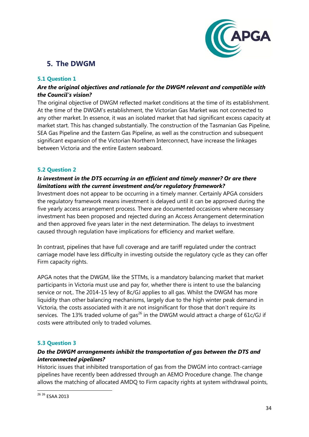![](_page_34_Picture_0.jpeg)

# **5. The DWGM**

#### <span id="page-34-0"></span>**5.1 Question 1**

#### *Are the original objectives and rationale for the DWGM relevant and compatible with the Council's vision?*

The original objective of DWGM reflected market conditions at the time of its establishment. At the time of the DWGM's establishment, the Victorian Gas Market was not connected to any other market. In essence, it was an isolated market that had significant excess capacity at market start. This has changed substantially. The construction of the Tasmanian Gas Pipeline, SEA Gas Pipeline and the Eastern Gas Pipeline, as well as the construction and subsequent significant expansion of the Victorian Northern Interconnect, have increase the linkages between Victoria and the entire Eastern seaboard.

#### <span id="page-34-1"></span>**5.2 Question 2**

#### *Is investment in the DTS occurring in an efficient and timely manner? Or are there limitations with the current investment and/or regulatory framework?*

Investment does not appear to be occurring in a timely manner. Certainly APGA considers the regulatory framework means investment is delayed until it can be approved during the five yearly access arrangement process. There are documented occasions where necessary investment has been proposed and rejected during an Access Arrangement determination and then approved five years later in the next determination. The delays to investment caused through regulation have implications for efficiency and market welfare.

In contrast, pipelines that have full coverage and are tariff regulated under the contract carriage model have less difficulty in investing outside the regulatory cycle as they can offer Firm capacity rights.

APGA notes that the DWGM, like the STTMs, is a mandatory balancing market that market participants in Victoria must use and pay for, whether there is intent to use the balancing service or not,. The 2014-15 levy of 8c/GJ applies to all gas. Whilst the DWGM has more liquidity than other balancing mechanisms, largely due to the high winter peak demand in Victoria, the costs associated with it are not insignificant for those that don't require its services. The 13% traded volume of gas<sup>26</sup> in the DWGM would attract a charge of 61 $c$ /GJ if costs were attributed only to traded volumes.

#### <span id="page-34-2"></span>**5.3 Question 3**

#### *Do the DWGM arrangements inhibit the transportation of gas between the DTS and interconnected pipelines?*

Historic issues that inhibited transportation of gas from the DWGM into contract-carriage pipelines have recently been addressed through an AEMO Procedure change. The change allows the matching of allocated AMDQ to Firm capacity rights at system withdrawal points,

**<sup>.</sup>** <sup>26 26</sup> ESAA 2013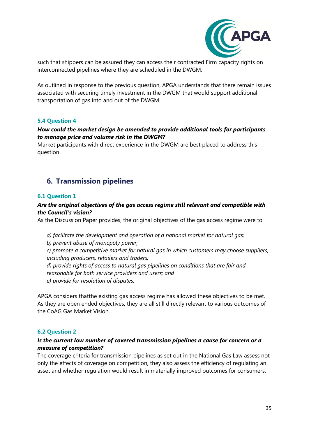![](_page_35_Picture_0.jpeg)

such that shippers can be assured they can access their contracted Firm capacity rights on interconnected pipelines where they are scheduled in the DWGM.

As outlined in response to the previous question, APGA understands that there remain issues associated with securing timely investment in the DWGM that would support additional transportation of gas into and out of the DWGM.

#### <span id="page-35-0"></span>**5.4 Question 4**

#### *How could the market design be amended to provide additional tools for participants to manage price and volume risk in the DWGM?*

Market participants with direct experience in the DWGM are best placed to address this question.

## <span id="page-35-1"></span>**6. Transmission pipelines**

#### <span id="page-35-2"></span>**6.1 Question 1**

#### *Are the original objectives of the gas access regime still relevant and compatible with the Council's vision?*

As the Discussion Paper provides, the original objectives of the gas access regime were to:

*a) facilitate the development and operation of a national market for natural gas;* 

*b) prevent abuse of monopoly power;* 

*c) promote a competitive market for natural gas in which customers may choose suppliers, including producers, retailers and traders;* 

*d) provide rights of access to natural gas pipelines on conditions that are fair and reasonable for both service providers and users; and e) provide for resolution of disputes.*

APGA considers thatthe existing gas access regime has allowed these objectives to be met. As they are open ended objectives, they are all still directly relevant to various outcomes of the CoAG Gas Market Vision.

#### <span id="page-35-3"></span>**6.2 Question 2**

#### *Is the current low number of covered transmission pipelines a cause for concern or a measure of competition?*

The coverage criteria for transmission pipelines as set out in the National Gas Law assess not only the effects of coverage on competition, they also assess the efficiency of regulating an asset and whether regulation would result in materially improved outcomes for consumers.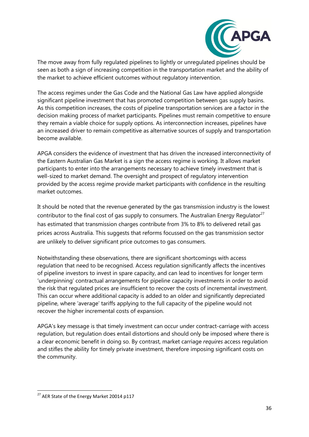![](_page_36_Picture_0.jpeg)

The move away from fully regulated pipelines to lightly or unregulated pipelines should be seen as both a sign of increasing competition in the transportation market and the ability of the market to achieve efficient outcomes without regulatory intervention.

The access regimes under the Gas Code and the National Gas Law have applied alongside significant pipeline investment that has promoted competition between gas supply basins. As this competition increases, the costs of pipeline transportation services are a factor in the decision making process of market participants. Pipelines must remain competitive to ensure they remain a viable choice for supply options. As interconnection increases, pipelines have an increased driver to remain competitive as alternative sources of supply and transportation become available.

APGA considers the evidence of investment that has driven the increased interconnectivity of the Eastern Australian Gas Market is a sign the access regime is working. It allows market participants to enter into the arrangements necessary to achieve timely investment that is well-sized to market demand. The oversight and prospect of regulatory intervention provided by the access regime provide market participants with confidence in the resulting market outcomes.

It should be noted that the revenue generated by the gas transmission industry is the lowest contributor to the final cost of gas supply to consumers. The Australian Energy Regulator<sup>27</sup> has estimated that transmission charges contribute from 3% to 8% to delivered retail gas prices across Australia. This suggests that reforms focussed on the gas transmission sector are unlikely to deliver significant price outcomes to gas consumers.

Notwithstanding these observations, there are significant shortcomings with access regulation that need to be recognised. Access regulation significantly affects the incentives of pipeline investors to invest in spare capacity, and can lead to incentives for longer term 'underpinning' contractual arrangements for pipeline capacity investments in order to avoid the risk that regulated prices are insufficient to recover the costs of incremental investment. This can occur where additional capacity is added to an older and significantly depreciated pipeline, where 'average' tariffs applying to the full capacity of the pipeline would not recover the higher incremental costs of expansion.

APGA's key message is that timely investment can occur under contract-carriage with access regulation, but regulation does entail distortions and should only be imposed where there is a clear economic benefit in doing so. By contrast, market carriage *requires* access regulation and stifles the ability for timely private investment, therefore imposing significant costs on the community.

**.** 

<sup>&</sup>lt;sup>27</sup> AER State of the Energy Market 20014 p117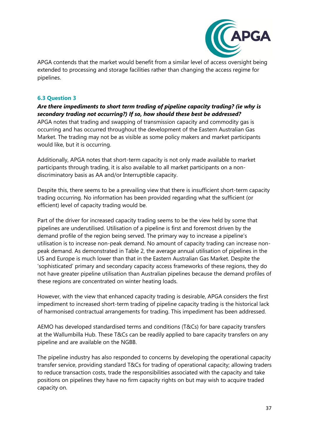![](_page_37_Picture_0.jpeg)

APGA contends that the market would benefit from a similar level of access oversight being extended to processing and storage facilities rather than changing the access regime for pipelines.

#### <span id="page-37-0"></span>**6.3 Question 3**

*Are there impediments to short term trading of pipeline capacity trading? (ie why is secondary trading not occurring?) If so, how should these best be addressed?*  APGA notes that trading and swapping of transmission capacity and commodity gas is occurring and has occurred throughout the development of the Eastern Australian Gas Market. The trading may not be as visible as some policy makers and market participants would like, but it is occurring.

Additionally, APGA notes that short-term capacity is not only made available to market participants through trading, it is also available to all market participants on a nondiscriminatory basis as AA and/or Interruptible capacity.

Despite this, there seems to be a prevailing view that there is insufficient short-term capacity trading occurring. No information has been provided regarding what the sufficient (or efficient) level of capacity trading would be.

Part of the driver for increased capacity trading seems to be the view held by some that pipelines are underutilised. Utilisation of a pipeline is first and foremost driven by the demand profile of the region being served. The primary way to increase a pipeline's utilisation is to increase non-peak demand. No amount of capacity trading can increase nonpeak demand. As demonstrated in Table 2, the average annual utilisation of pipelines in the US and Europe is much lower than that in the Eastern Australian Gas Market. Despite the 'sophisticated' primary and secondary capacity access frameworks of these regions, they do not have greater pipeline utilisation than Australian pipelines because the demand profiles of these regions are concentrated on winter heating loads.

However, with the view that enhanced capacity trading is desirable, APGA considers the first impediment to increased short-term trading of pipeline capacity trading is the historical lack of harmonised contractual arrangements for trading. This impediment has been addressed.

AEMO has developed standardised terms and conditions (T&Cs) for bare capacity transfers at the Wallumbilla Hub. These T&Cs can be readily applied to bare capacity transfers on any pipeline and are available on the NGBB.

The pipeline industry has also responded to concerns by developing the operational capacity transfer service, providing standard T&Cs for trading of operational capacity; allowing traders to reduce transaction costs, trade the responsibilities associated with the capacity and take positions on pipelines they have no firm capacity rights on but may wish to acquire traded capacity on.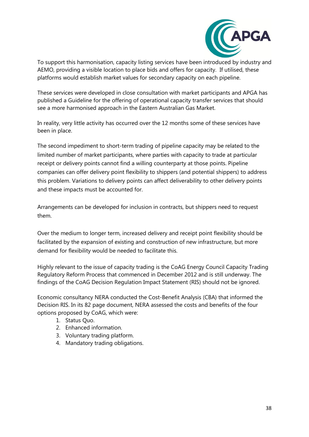![](_page_38_Picture_0.jpeg)

To support this harmonisation, capacity listing services have been introduced by industry and AEMO, providing a visible location to place bids and offers for capacity. If utilised, these platforms would establish market values for secondary capacity on each pipeline.

These services were developed in close consultation with market participants and APGA has published a Guideline for the offering of operational capacity transfer services that should see a more harmonised approach in the Eastern Australian Gas Market.

In reality, very little activity has occurred over the 12 months some of these services have been in place.

The second impediment to short-term trading of pipeline capacity may be related to the limited number of market participants, where parties with capacity to trade at particular receipt or delivery points cannot find a willing counterparty at those points. Pipeline companies can offer delivery point flexibility to shippers (and potential shippers) to address this problem. Variations to delivery points can affect deliverability to other delivery points and these impacts must be accounted for.

Arrangements can be developed for inclusion in contracts, but shippers need to request them.

Over the medium to longer term, increased delivery and receipt point flexibility should be facilitated by the expansion of existing and construction of new infrastructure, but more demand for flexibility would be needed to facilitate this.

Highly relevant to the issue of capacity trading is the CoAG Energy Council Capacity Trading Regulatory Reform Process that commenced in December 2012 and is still underway. The findings of the CoAG Decision Regulation Impact Statement (RIS) should not be ignored.

Economic consultancy NERA conducted the Cost-Benefit Analysis (CBA) that informed the Decision RIS. In its 82 page document, NERA assessed the costs and benefits of the four options proposed by CoAG, which were:

- 1. Status Quo.
- 2. Enhanced information.
- 3. Voluntary trading platform.
- 4. Mandatory trading obligations.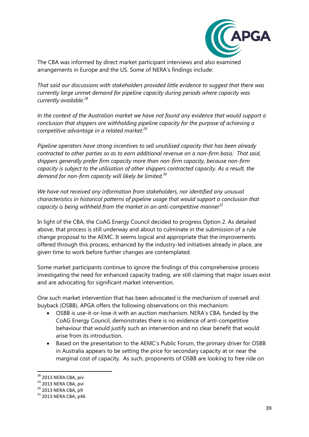![](_page_39_Picture_0.jpeg)

The CBA was informed by direct market participant interviews and also examined arrangements in Europe and the US. Some of NERA's findings include:

*That said our discussions with stakeholders provided little evidence to suggest that there was currently large unmet demand for pipeline capacity during periods where capacity was currently available.<sup>28</sup>*

*In the context of the Australian market we have not found any evidence that would support a conclusion that shippers are withholding pipeline capacity for the purpose of achieving a competitive advantage in a related market.<sup>29</sup>* 

*Pipeline operators have strong incentives to sell unutilised capacity that has been already contracted to other parties so as to earn additional revenue on a non-firm basis. That said, shippers generally prefer firm capacity more than non-firm capacity, because non-firm capacity is subject to the utilisation of other shippers contracted capacity. As a result, the demand for non-firm capacity will likely be limited.<sup>30</sup>*

*We have not received any information from stakeholders, nor identified any unusual characteristics in historical patterns of pipeline usage that would support a conclusion that capacity is being withheld from the market in an anti-competitive manner<sup>31</sup>*

In light of the CBA, the CoAG Energy Council decided to progress Option 2. As detailed above, that process is still underway and about to culminate in the submission of a rule change proposal to the AEMC. It seems logical and appropriate that the improvements offered through this process, enhanced by the industry-led initiatives already in place, are given time to work before further changes are contemplated.

Some market participants continue to ignore the findings of this comprehensive process investigating the need for enhanced capacity trading, are still claiming that major issues exist and are advocating for significant market intervention.

One such market intervention that has been advocated is the mechanism of oversell and buyback (OSBB). APGA offers the following observations on this mechanism:

- OSBB is use-it-or-lose-it with an auction mechanism. NERA's CBA, funded by the CoAG Energy Council, demonstrates there is no evidence of anti-competitive behaviour that would justify such an intervention and no clear benefit that would arise from its introduction.
- Based on the presentation to the AEMC's Public Forum, the primary driver for OSBB in Australia appears to be setting the price for secondary capacity at or near the marginal cost of capacity. As such, proponents of OSBB are looking to free ride on

**.** 

<sup>&</sup>lt;sup>28</sup> 2013 NERA CBA, piv

<sup>&</sup>lt;sup>29</sup> 2013 NERA CBA, pvi

<sup>30</sup> 2013 NERA CBA, p9

 $31$  2013 NERA CBA, p46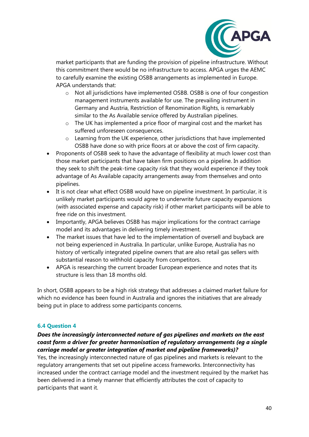![](_page_40_Picture_0.jpeg)

market participants that are funding the provision of pipeline infrastructure. Without this commitment there would be no infrastructure to access. APGA urges the AEMC to carefully examine the existing OSBB arrangements as implemented in Europe. APGA understands that:

- o Not all jurisdictions have implemented OSBB. OSBB is one of four congestion management instruments available for use. The prevailing instrument in Germany and Austria, Restriction of Renomination Rights, is remarkably similar to the As Available service offered by Australian pipelines.
- o The UK has implemented a price floor of marginal cost and the market has suffered unforeseen consequences.
- o Learning from the UK experience, other jurisdictions that have implemented OSBB have done so with price floors at or above the cost of firm capacity.
- Proponents of OSBB seek to have the advantage of flexibility at much lower cost than those market participants that have taken firm positions on a pipeline. In addition they seek to shift the peak-time capacity risk that they would experience if they took advantage of As Available capacity arrangements away from themselves and onto pipelines.
- It is not clear what effect OSBB would have on pipeline investment. In particular, it is unlikely market participants would agree to underwrite future capacity expansions (with associated expense and capacity risk) if other market participants will be able to free ride on this investment.
- Importantly, APGA believes OSBB has major implications for the contract carriage model and its advantages in delivering timely investment.
- The market issues that have led to the implementation of oversell and buyback are not being experienced in Australia. In particular, unlike Europe, Australia has no history of vertically integrated pipeline owners that are also retail gas sellers with substantial reason to withhold capacity from competitors.
- APGA is researching the current broader European experience and notes that its structure is less than 18 months old.

In short, OSBB appears to be a high risk strategy that addresses a claimed market failure for which no evidence has been found in Australia and ignores the initiatives that are already being put in place to address some participants concerns.

#### <span id="page-40-0"></span>**6.4 Question 4**

#### *Does the increasingly interconnected nature of gas pipelines and markets on the east coast form a driver for greater harmonisation of regulatory arrangements (eg a single carriage model or greater integration of market and pipeline frameworks)?*

Yes, the increasingly interconnected nature of gas pipelines and markets is relevant to the regulatory arrangements that set out pipeline access frameworks. Interconnectivity has increased under the contract carriage model and the investment required by the market has been delivered in a timely manner that efficiently attributes the cost of capacity to participants that want it.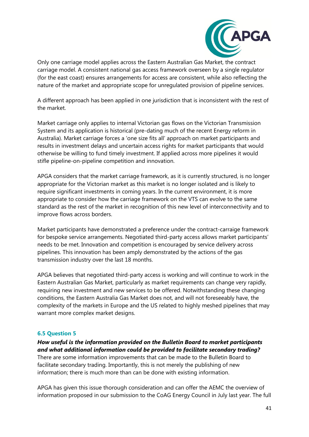![](_page_41_Picture_0.jpeg)

Only one carriage model applies across the Eastern Australian Gas Market, the contract carriage model. A consistent national gas access framework overseen by a single regulator (for the east coast) ensures arrangements for access are consistent, while also reflecting the nature of the market and appropriate scope for unregulated provision of pipeline services.

A different approach has been applied in one jurisdiction that is inconsistent with the rest of the market.

Market carriage only applies to internal Victorian gas flows on the Victorian Transmission System and its application is historical (pre-dating much of the recent Energy reform in Australia). Market carriage forces a 'one size fits all' approach on market participants and results in investment delays and uncertain access rights for market participants that would otherwise be willing to fund timely investment. If applied across more pipelines it would stifle pipeline-on-pipeline competition and innovation.

APGA considers that the market carriage framework, as it is currently structured, is no longer appropriate for the Victorian market as this market is no longer isolated and is likely to require significant investments in coming years. In the current environment, it is more appropriate to consider how the carriage framework on the VTS can evolve to the same standard as the rest of the market in recognition of this new level of interconnectivity and to improve flows across borders.

Market participants have demonstrated a preference under the contract-carraige framework for bespoke service arrangements. Negotiated third-party access allows market participants' needs to be met. Innovation and competition is encouraged by service delivery across pipelines. This innovation has been amply demonstrated by the actions of the gas transmission industry over the last 18 months.

APGA believes that negotiated third-party access is working and will continue to work in the Eastern Australian Gas Market, particularly as market requirements can change very rapidly, requiring new investment and new services to be offered. Notwithstanding these changing conditions, the Eastern Australia Gas Market does not, and will not foreseeably have, the complexity of the markets in Europe and the US related to highly meshed pipelines that may warrant more complex market designs.

#### <span id="page-41-0"></span>**6.5 Question 5**

#### *How useful is the information provided on the Bulletin Board to market participants and what additional information could be provided to facilitate secondary trading?*

There are some information improvements that can be made to the Bulletin Board to facilitate secondary trading. Importantly, this is not merely the publishing of new information; there is much more than can be done with existing information.

APGA has given this issue thorough consideration and can offer the AEMC the overview of information proposed in our submission to the CoAG Energy Council in July last year. The full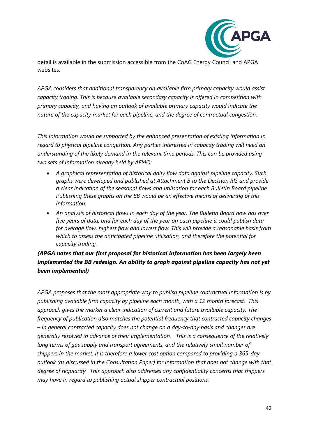![](_page_42_Picture_0.jpeg)

detail is available in the submission accessible from the CoAG Energy Council and APGA websites.

*APGA considers that additional transparency on available firm primary capacity would assist capacity trading. This is because available secondary capacity is offered in competition with primary capacity, and having an outlook of available primary capacity would indicate the nature of the capacity market for each pipeline, and the degree of contractual congestion.* 

*This information would be supported by the enhanced presentation of existing information in regard to physical pipeline congestion. Any parties interested in capacity trading will need an understanding of the likely demand in the relevant time periods. This can be provided using two sets of information already held by AEMO:* 

- *A graphical representation of historical daily flow data against pipeline capacity. Such graphs were developed and published at Attachment B to the Decision RIS and provide a clear indication of the seasonal flows and utilisation for each Bulletin Board pipeline. Publishing these graphs on the BB would be an effective means of delivering of this information.*
- *An analysis of historical flows in each day of the year. The Bulletin Board now has over five years of data, and for each day of the year on each pipeline it could publish data for average flow, highest flow and lowest flow. This will provide a reasonable basis from which to assess the anticipated pipeline utilisation, and therefore the potential for capacity trading.*

## *(APGA notes that our first proposal for historical information has been largely been implemented the BB redesign. An ability to graph against pipeline capacity has not yet been implemented)*

*APGA proposes that the most appropriate way to publish pipeline contractual information is by publishing available firm capacity by pipeline each month, with a 12 month forecast. This approach gives the market a clear indication of current and future available capacity. The frequency of publication also matches the potential frequency that contracted capacity changes – in general contracted capacity does not change on a day-to-day basis and changes are generally resolved in advance of their implementation. This is a consequence of the relatively long terms of gas supply and transport agreements, and the relatively small number of shippers in the market. It is therefore a lower cost option compared to providing a 365-day outlook (as discussed in the Consultation Paper) for information that does not change with that degree of regularity. This approach also addresses any confidentiality concerns that shippers may have in regard to publishing actual shipper contractual positions.*